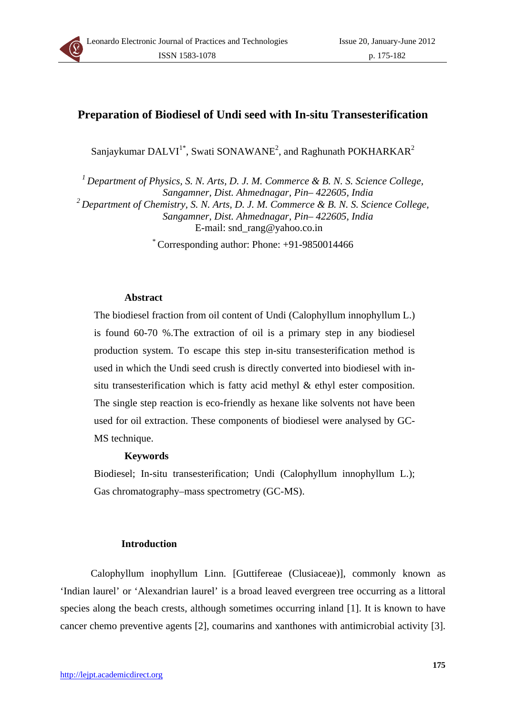

# **Preparation of Biodiesel of Undi seed with In-situ Transesterification**

Sanjaykumar  $\text{DALVI}^{1*}$ , Swati SONAWANE<sup>2</sup>, and Raghunath POKHARKAR<sup>2</sup>

*1 Department of Physics, S. N. Arts, D. J. M. Commerce & B. N. S. Science College, Sangamner, Dist. Ahmednagar, Pin– 422605, India* 

*2 Department of Chemistry, S. N. Arts, D. J. M. Commerce & B. N. S. Science College, Sangamner, Dist. Ahmednagar, Pin– 422605, India*  E-mail: snd\_rang@yahoo.co.in

\* Corresponding author: Phone: +91-9850014466

### **Abstract**

The biodiesel fraction from oil content of Undi (Calophyllum innophyllum L.) is found 60-70 %.The extraction of oil is a primary step in any biodiesel production system. To escape this step in-situ transesterification method is used in which the Undi seed crush is directly converted into biodiesel with insitu transesterification which is fatty acid methyl & ethyl ester composition. The single step reaction is eco-friendly as hexane like solvents not have been used for oil extraction. These components of biodiesel were analysed by GC-MS technique.

### **Keywords**

Biodiesel; In-situ transesterification; Undi (Calophyllum innophyllum L.); Gas chromatography–mass spectrometry (GC-MS).

#### **Introduction**

Calophyllum inophyllum Linn. [Guttifereae (Clusiaceae)], commonly known as 'Indian laurel' or 'Alexandrian laurel' is a broad leaved evergreen tree occurring as a littoral species along the beach crests, although sometimes occurring inland [1]. It is known to have cancer chemo preventive agents [2], coumarins and xanthones with antimicrobial activity [3].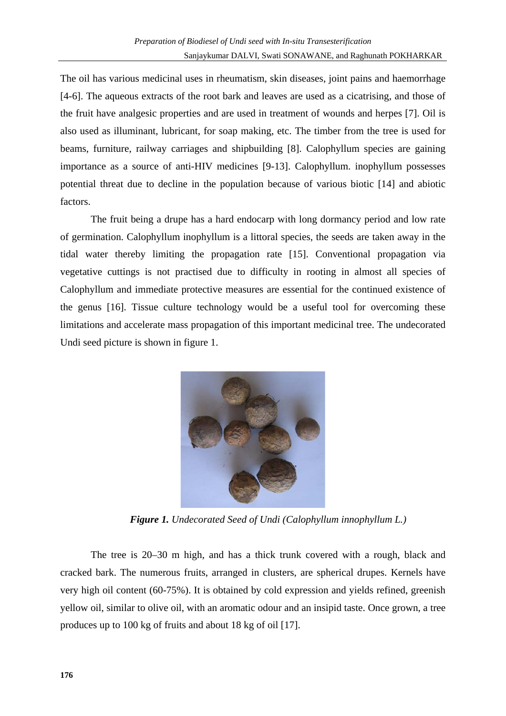The oil has various medicinal uses in rheumatism, skin diseases, joint pains and haemorrhage [4-6]. The aqueous extracts of the root bark and leaves are used as a cicatrising, and those of the fruit have analgesic properties and are used in treatment of wounds and herpes [7]. Oil is also used as illuminant, lubricant, for soap making, etc. The timber from the tree is used for beams, furniture, railway carriages and shipbuilding [8]. Calophyllum species are gaining importance as a source of anti-HIV medicines [9-13]. Calophyllum. inophyllum possesses potential threat due to decline in the population because of various biotic [14] and abiotic factors.

The fruit being a drupe has a hard endocarp with long dormancy period and low rate of germination. Calophyllum inophyllum is a littoral species, the seeds are taken away in the tidal water thereby limiting the propagation rate [15]. Conventional propagation via vegetative cuttings is not practised due to difficulty in rooting in almost all species of Calophyllum and immediate protective measures are essential for the continued existence of the genus [16]. Tissue culture technology would be a useful tool for overcoming these limitations and accelerate mass propagation of this important medicinal tree. The undecorated Undi seed picture is shown in figure 1.



*Figure 1. Undecorated Seed of Undi (Calophyllum innophyllum L.)*

The tree is 20–30 m high, and has a thick trunk covered with a rough, black and cracked bark. The numerous fruits, arranged in clusters, are spherical drupes. Kernels have very high oil content (60-75%). It is obtained by cold expression and yields refined, greenish yellow oil, similar to olive oil, with an aromatic odour and an insipid taste. Once grown, a tree produces up to 100 kg of fruits and about 18 kg of oil [17].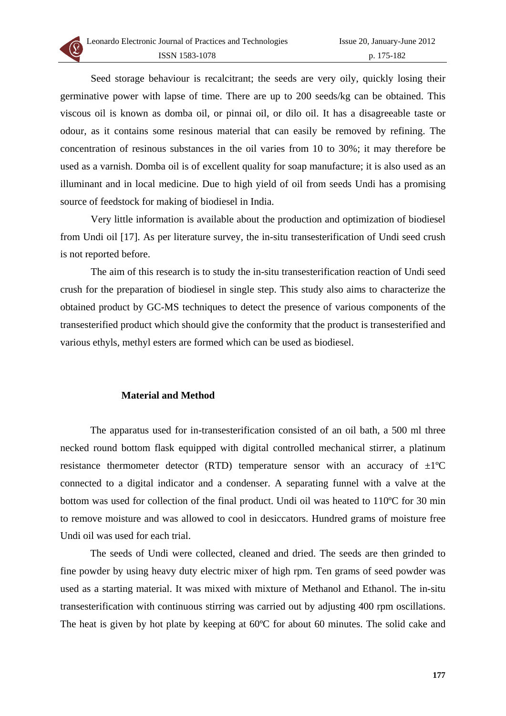Seed storage behaviour is recalcitrant; the seeds are very oily, quickly losing their germinative power with lapse of time. There are up to 200 seeds/kg can be obtained. This viscous oil is known as domba oil, or pinnai oil, or dilo oil. It has a disagreeable taste or odour, as it contains some resinous material that can easily be removed by refining. The concentration of resinous substances in the oil varies from 10 to 30%; it may therefore be used as a varnish. Domba oil is of excellent quality for soap manufacture; it is also used as an illuminant and in local medicine. Due to high yield of oil from seeds Undi has a promising source of feedstock for making of biodiesel in India.

Very little information is available about the production and optimization of biodiesel from Undi oil [17]. As per literature survey, the in-situ transesterification of Undi seed crush is not reported before.

The aim of this research is to study the in-situ transesterification reaction of Undi seed crush for the preparation of biodiesel in single step. This study also aims to characterize the obtained product by GC-MS techniques to detect the presence of various components of the transesterified product which should give the conformity that the product is transesterified and various ethyls, methyl esters are formed which can be used as biodiesel.

# **Material and Method**

The apparatus used for in-transesterification consisted of an oil bath, a 500 ml three necked round bottom flask equipped with digital controlled mechanical stirrer, a platinum resistance thermometer detector (RTD) temperature sensor with an accuracy of  $\pm 1^{\circ}C$ connected to a digital indicator and a condenser. A separating funnel with a valve at the bottom was used for collection of the final product. Undi oil was heated to 110ºC for 30 min to remove moisture and was allowed to cool in desiccators. Hundred grams of moisture free Undi oil was used for each trial.

The seeds of Undi were collected, cleaned and dried. The seeds are then grinded to fine powder by using heavy duty electric mixer of high rpm. Ten grams of seed powder was used as a starting material. It was mixed with mixture of Methanol and Ethanol. The in-situ transesterification with continuous stirring was carried out by adjusting 400 rpm oscillations. The heat is given by hot plate by keeping at 60ºC for about 60 minutes. The solid cake and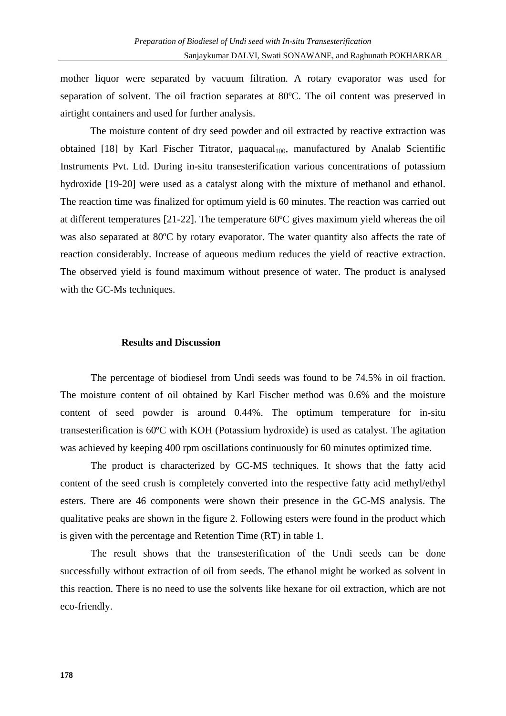mother liquor were separated by vacuum filtration. A rotary evaporator was used for separation of solvent. The oil fraction separates at 80ºC. The oil content was preserved in airtight containers and used for further analysis.

The moisture content of dry seed powder and oil extracted by reactive extraction was obtained [18] by Karl Fischer Titrator,  $\mu$ aquacal<sub>100</sub>, manufactured by Analab Scientific Instruments Pvt. Ltd. During in-situ transesterification various concentrations of potassium hydroxide [19-20] were used as a catalyst along with the mixture of methanol and ethanol. The reaction time was finalized for optimum yield is 60 minutes. The reaction was carried out at different temperatures [21-22]. The temperature 60ºC gives maximum yield whereas the oil was also separated at 80ºC by rotary evaporator. The water quantity also affects the rate of reaction considerably. Increase of aqueous medium reduces the yield of reactive extraction. The observed yield is found maximum without presence of water. The product is analysed with the GC-Ms techniques.

## **Results and Discussion**

The percentage of biodiesel from Undi seeds was found to be 74.5% in oil fraction. The moisture content of oil obtained by Karl Fischer method was 0.6% and the moisture content of seed powder is around 0.44%. The optimum temperature for in-situ transesterification is 60ºC with KOH (Potassium hydroxide) is used as catalyst. The agitation was achieved by keeping 400 rpm oscillations continuously for 60 minutes optimized time.

The product is characterized by GC-MS techniques. It shows that the fatty acid content of the seed crush is completely converted into the respective fatty acid methyl/ethyl esters. There are 46 components were shown their presence in the GC-MS analysis. The qualitative peaks are shown in the figure 2. Following esters were found in the product which is given with the percentage and Retention Time (RT) in table 1.

The result shows that the transesterification of the Undi seeds can be done successfully without extraction of oil from seeds. The ethanol might be worked as solvent in this reaction. There is no need to use the solvents like hexane for oil extraction, which are not eco-friendly.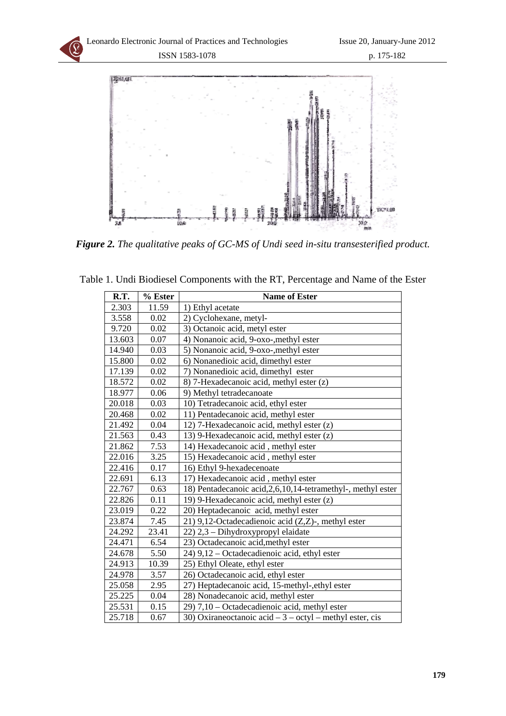

*Figure 2. The qualitative peaks of GC-MS of Undi seed in-situ transesterified product.* 

| R.T.   | % Ester | <b>Name of Ester</b>                                                     |  |  |  |
|--------|---------|--------------------------------------------------------------------------|--|--|--|
| 2.303  | 11.59   | 1) Ethyl acetate                                                         |  |  |  |
| 3.558  | 0.02    | 2) Cyclohexane, metyl-                                                   |  |  |  |
| 9.720  | 0.02    | 3) Octanoic acid, metyl ester                                            |  |  |  |
| 13.603 | 0.07    | 4) Nonanoic acid, 9-oxo-, methyl ester                                   |  |  |  |
| 14.940 | 0.03    | 5) Nonanoic acid, 9-oxo-, methyl ester                                   |  |  |  |
| 15.800 | 0.02    | 6) Nonanedioic acid, dimethyl ester                                      |  |  |  |
| 17.139 | 0.02    | 7) Nonanedioic acid, dimethyl ester                                      |  |  |  |
| 18.572 | 0.02    | 8) 7-Hexadecanoic acid, methyl ester (z)                                 |  |  |  |
| 18.977 | 0.06    | 9) Methyl tetradecanoate                                                 |  |  |  |
| 20.018 | 0.03    | 10) Tetradecanoic acid, ethyl ester                                      |  |  |  |
| 20.468 | 0.02    | 11) Pentadecanoic acid, methyl ester                                     |  |  |  |
| 21.492 | 0.04    | 12) 7-Hexadecanoic acid, methyl ester (z)                                |  |  |  |
| 21.563 | 0.43    | 13) 9-Hexadecanoic acid, methyl ester (z)                                |  |  |  |
| 21.862 | 7.53    | 14) Hexadecanoic acid, methyl ester                                      |  |  |  |
| 22.016 | 3.25    | 15) Hexadecanoic acid, methyl ester                                      |  |  |  |
| 22.416 | 0.17    | 16) Ethyl 9-hexadecenoate                                                |  |  |  |
| 22.691 | 6.13    | 17) Hexadecanoic acid, methyl ester                                      |  |  |  |
| 22.767 | 0.63    | 18) Pentadecanoic acid, 2, 6, 10, 14-tetramethyl-, methyl ester          |  |  |  |
| 22.826 | 0.11    | 19) 9-Hexadecanoic acid, methyl ester (z)                                |  |  |  |
| 23.019 | 0.22    | 20) Heptadecanoic acid, methyl ester                                     |  |  |  |
| 23.874 | 7.45    | 21) 9,12-Octadecadienoic acid (Z,Z)-, methyl ester                       |  |  |  |
| 24.292 | 23.41   | 22) 2,3 – Dihydroxypropyl elaidate                                       |  |  |  |
| 24.471 | 6.54    | 23) Octadecanoic acid, methyl ester                                      |  |  |  |
| 24.678 | 5.50    | 24) 9,12 – Octadecadienoic acid, ethyl ester                             |  |  |  |
| 24.913 | 10.39   | 25) Ethyl Oleate, ethyl ester                                            |  |  |  |
| 24.978 | 3.57    | 26) Octadecanoic acid, ethyl ester                                       |  |  |  |
| 25.058 | 2.95    | 27) Heptadecanoic acid, 15-methyl-, ethyl ester                          |  |  |  |
| 25.225 | 0.04    | 28) Nonadecanoic acid, methyl ester                                      |  |  |  |
| 25.531 | 0.15    | 29) 7,10 – Octadecadienoic acid, methyl ester                            |  |  |  |
| 25.718 | 0.67    | 30) Oxiraneoctanoic $\text{acid} - 3 - \text{octyl}$ – methyl ester, cis |  |  |  |

| Table 1. Undi Biodiesel Components with the RT, Percentage and Name of the Ester |  |  |  |
|----------------------------------------------------------------------------------|--|--|--|
|                                                                                  |  |  |  |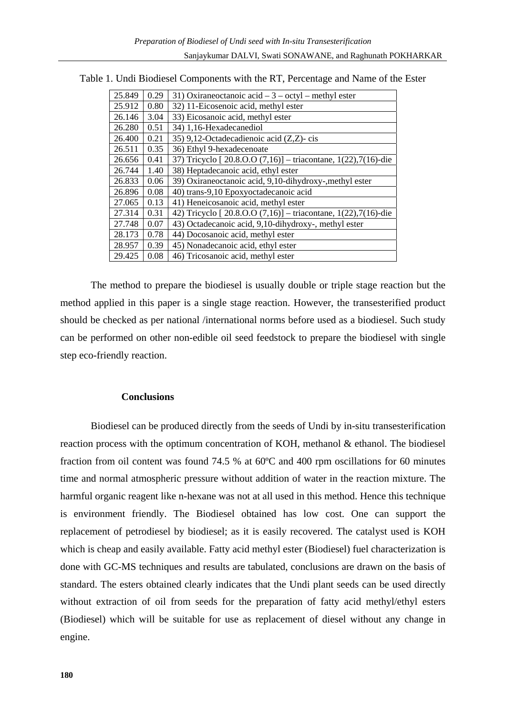| 25.849 | 0.29 | 31) Oxiraneoctanoic acid $-3$ – octyl – methyl ester            |  |
|--------|------|-----------------------------------------------------------------|--|
| 25.912 | 0.80 | 32) 11-Eicosenoic acid, methyl ester                            |  |
| 26.146 | 3.04 | 33) Eicosanoic acid, methyl ester                               |  |
| 26.280 | 0.51 | 34) 1,16-Hexadecanediol                                         |  |
| 26.400 | 0.21 | 35) 9,12-Octadecadienoic acid (Z,Z)- cis                        |  |
| 26.511 | 0.35 | 36) Ethyl 9-hexadecenoate                                       |  |
| 26.656 | 0.41 | 37) Tricyclo [20.8.O.O (7,16)] – triacontane, 1(22), 7(16)-die  |  |
| 26.744 | 1.40 | 38) Heptadecanoic acid, ethyl ester                             |  |
| 26.833 | 0.06 | 39) Oxiraneoctanoic acid, 9,10-dihydroxy-,methyl ester          |  |
| 26.896 | 0.08 | 40) trans-9,10 Epoxyoctadecanoic acid                           |  |
| 27.065 | 0.13 | 41) Heneicosanoic acid, methyl ester                            |  |
| 27.314 | 0.31 | 42) Tricyclo [ 20.8.O.O (7,16)] – triacontane, 1(22), 7(16)-die |  |
| 27.748 | 0.07 | 43) Octadecanoic acid, 9,10-dihydroxy-, methyl ester            |  |
| 28.173 | 0.78 | 44) Docosanoic acid, methyl ester                               |  |
| 28.957 | 0.39 | 45) Nonadecanoic acid, ethyl ester                              |  |
| 29.425 | 0.08 | 46) Tricosanoic acid, methyl ester                              |  |

Table 1. Undi Biodiesel Components with the RT, Percentage and Name of the Ester

The method to prepare the biodiesel is usually double or triple stage reaction but the method applied in this paper is a single stage reaction. However, the transesterified product should be checked as per national /international norms before used as a biodiesel. Such study can be performed on other non-edible oil seed feedstock to prepare the biodiesel with single step eco-friendly reaction.

# **Conclusions**

Biodiesel can be produced directly from the seeds of Undi by in-situ transesterification reaction process with the optimum concentration of KOH, methanol & ethanol. The biodiesel fraction from oil content was found 74.5 % at 60ºC and 400 rpm oscillations for 60 minutes time and normal atmospheric pressure without addition of water in the reaction mixture. The harmful organic reagent like n-hexane was not at all used in this method. Hence this technique is environment friendly. The Biodiesel obtained has low cost. One can support the replacement of petrodiesel by biodiesel; as it is easily recovered. The catalyst used is KOH which is cheap and easily available. Fatty acid methyl ester (Biodiesel) fuel characterization is done with GC-MS techniques and results are tabulated, conclusions are drawn on the basis of standard. The esters obtained clearly indicates that the Undi plant seeds can be used directly without extraction of oil from seeds for the preparation of fatty acid methyl/ethyl esters (Biodiesel) which will be suitable for use as replacement of diesel without any change in engine.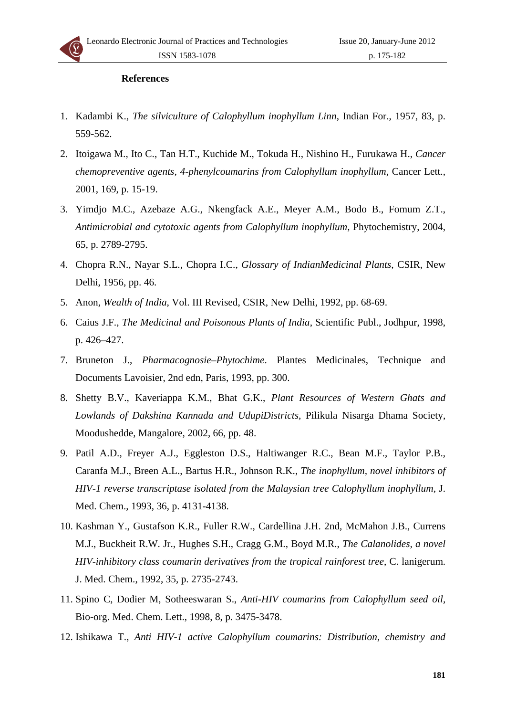

#### **References**

- 1. Kadambi K., *The silviculture of Calophyllum inophyllum Linn*, Indian For., 1957, 83, p. 559-562.
- 2. Itoigawa M., Ito C., Tan H.T., Kuchide M., Tokuda H., Nishino H., Furukawa H., *Cancer chemopreventive agents, 4-phenylcoumarins from Calophyllum inophyllum*, Cancer Lett., 2001, 169, p. 15-19.
- 3. Yimdjo M.C., Azebaze A.G., Nkengfack A.E., Meyer A.M., Bodo B., Fomum Z.T., *Antimicrobial and cytotoxic agents from Calophyllum inophyllum,* Phytochemistry, 2004, 65, p. 2789-2795.
- 4. Chopra R.N., Nayar S.L., Chopra I.C., *Glossary of IndianMedicinal Plants,* CSIR, New Delhi, 1956, pp. 46.
- 5. Anon, *Wealth of India*, Vol. III Revised, CSIR, New Delhi, 1992, pp. 68-69.
- 6. Caius J.F., *The Medicinal and Poisonous Plants of India*, Scientific Publ., Jodhpur, 1998, p. 426–427.
- 7. Bruneton J., *Pharmacognosie–Phytochime*. Plantes Medicinales, Technique and Documents Lavoisier, 2nd edn, Paris, 1993, pp. 300.
- 8. Shetty B.V., Kaveriappa K.M., Bhat G.K., *Plant Resources of Western Ghats and Lowlands of Dakshina Kannada and UdupiDistricts*, Pilikula Nisarga Dhama Society, Moodushedde, Mangalore, 2002, 66, pp. 48.
- 9. Patil A.D., Freyer A.J., Eggleston D.S., Haltiwanger R.C., Bean M.F., Taylor P.B., Caranfa M.J., Breen A.L., Bartus H.R., Johnson R.K., *The inophyllum, novel inhibitors of HIV-1 reverse transcriptase isolated from the Malaysian tree Calophyllum inophyllum*, J. Med. Chem., 1993, 36, p. 4131-4138.
- 10. Kashman Y., Gustafson K.R., Fuller R.W., Cardellina J.H. 2nd, McMahon J.B., Currens M.J., Buckheit R.W. Jr., Hughes S.H., Cragg G.M., Boyd M.R., *The Calanolides, a novel HIV-inhibitory class coumarin derivatives from the tropical rainforest tree*, C. lanigerum. J. Med. Chem., 1992, 35, p. 2735-2743.
- 11. Spino C, Dodier M, Sotheeswaran S., *Anti-HIV coumarins from Calophyllum seed oil,*  Bio-org. Med. Chem. Lett., 1998, 8, p. 3475-3478.
- 12. Ishikawa T., *Anti HIV-1 active Calophyllum coumarins: Distribution, chemistry and*